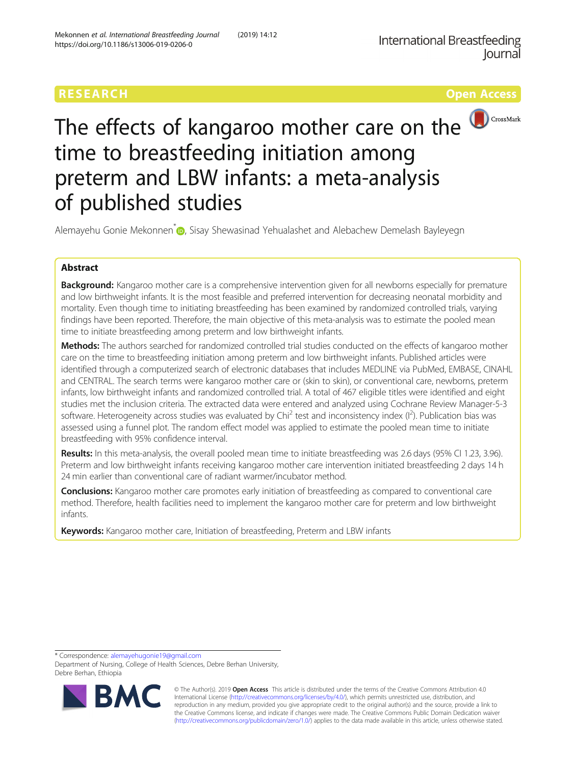# RESEARCH **RESEARCH CONSUMING THE CONSUMING THE CONSUMING TENS**





# The effects of kangaroo mother care on the **O CrossMark** time to breastfeeding initiation among preterm and LBW infants: a meta-analysis of published studies

Alemayehu Gonie Mekonnen<sup>[\\*](http://orcid.org/0000-0002-2144-6429)</sup> (b. Sisay Shewasinad Yehualashet and Alebachew Demelash Bayleyegn

# Abstract

Background: Kangaroo mother care is a comprehensive intervention given for all newborns especially for premature and low birthweight infants. It is the most feasible and preferred intervention for decreasing neonatal morbidity and mortality. Even though time to initiating breastfeeding has been examined by randomized controlled trials, varying findings have been reported. Therefore, the main objective of this meta-analysis was to estimate the pooled mean time to initiate breastfeeding among preterm and low birthweight infants.

Methods: The authors searched for randomized controlled trial studies conducted on the effects of kangaroo mother care on the time to breastfeeding initiation among preterm and low birthweight infants. Published articles were identified through a computerized search of electronic databases that includes MEDLINE via PubMed, EMBASE, CINAHL and CENTRAL. The search terms were kangaroo mother care or (skin to skin), or conventional care, newborns, preterm infants, low birthweight infants and randomized controlled trial. A total of 467 eligible titles were identified and eight studies met the inclusion criteria. The extracted data were entered and analyzed using Cochrane Review Manager-5-3 software. Heterogeneity across studies was evaluated by Chi<sup>2</sup> test and inconsistency index (I<sup>2</sup>). Publication bias was assessed using a funnel plot. The random effect model was applied to estimate the pooled mean time to initiate breastfeeding with 95% confidence interval.

Results: In this meta-analysis, the overall pooled mean time to initiate breastfeeding was 2.6 days (95% CI 1.23, 3.96). Preterm and low birthweight infants receiving kangaroo mother care intervention initiated breastfeeding 2 days 14 h 24 min earlier than conventional care of radiant warmer/incubator method.

**Conclusions:** Kangaroo mother care promotes early initiation of breastfeeding as compared to conventional care method. Therefore, health facilities need to implement the kangaroo mother care for preterm and low birthweight infants.

Keywords: Kangaroo mother care, Initiation of breastfeeding, Preterm and LBW infants

\* Correspondence: [alemayehugonie19@gmail.com](mailto:alemayehugonie19@gmail.com)

Department of Nursing, College of Health Sciences, Debre Berhan University, Debre Berhan, Ethiopia



© The Author(s). 2019 Open Access This article is distributed under the terms of the Creative Commons Attribution 4.0 International License [\(http://creativecommons.org/licenses/by/4.0/](http://creativecommons.org/licenses/by/4.0/)), which permits unrestricted use, distribution, and reproduction in any medium, provided you give appropriate credit to the original author(s) and the source, provide a link to the Creative Commons license, and indicate if changes were made. The Creative Commons Public Domain Dedication waiver [\(http://creativecommons.org/publicdomain/zero/1.0/](http://creativecommons.org/publicdomain/zero/1.0/)) applies to the data made available in this article, unless otherwise stated.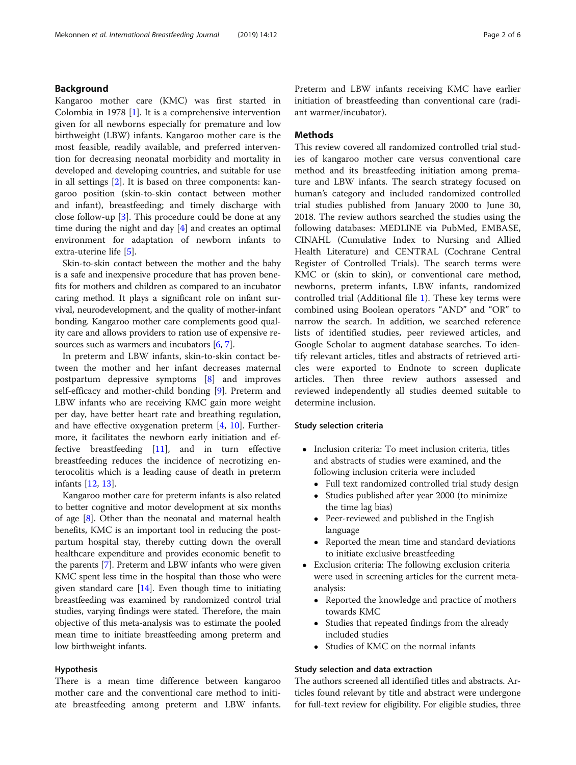## Background

Kangaroo mother care (KMC) was first started in Colombia in 1978 [\[1](#page-4-0)]. It is a comprehensive intervention given for all newborns especially for premature and low birthweight (LBW) infants. Kangaroo mother care is the most feasible, readily available, and preferred intervention for decreasing neonatal morbidity and mortality in developed and developing countries, and suitable for use in all settings [\[2](#page-4-0)]. It is based on three components: kangaroo position (skin-to-skin contact between mother and infant), breastfeeding; and timely discharge with close follow-up [\[3](#page-4-0)]. This procedure could be done at any time during the night and day [\[4](#page-4-0)] and creates an optimal environment for adaptation of newborn infants to extra-uterine life [\[5](#page-4-0)].

Skin-to-skin contact between the mother and the baby is a safe and inexpensive procedure that has proven benefits for mothers and children as compared to an incubator caring method. It plays a significant role on infant survival, neurodevelopment, and the quality of mother-infant bonding. Kangaroo mother care complements good quality care and allows providers to ration use of expensive resources such as warmers and incubators [\[6](#page-4-0), [7\]](#page-4-0).

In preterm and LBW infants, skin-to-skin contact between the mother and her infant decreases maternal postpartum depressive symptoms [\[8](#page-4-0)] and improves self-efficacy and mother-child bonding [[9](#page-4-0)]. Preterm and LBW infants who are receiving KMC gain more weight per day, have better heart rate and breathing regulation, and have effective oxygenation preterm  $[4, 10]$  $[4, 10]$  $[4, 10]$ . Furthermore, it facilitates the newborn early initiation and effective breastfeeding [[11\]](#page-5-0), and in turn effective breastfeeding reduces the incidence of necrotizing enterocolitis which is a leading cause of death in preterm infants [[12](#page-5-0), [13](#page-5-0)].

Kangaroo mother care for preterm infants is also related to better cognitive and motor development at six months of age  $[8]$  $[8]$ . Other than the neonatal and maternal health benefits, KMC is an important tool in reducing the postpartum hospital stay, thereby cutting down the overall healthcare expenditure and provides economic benefit to the parents [[7\]](#page-4-0). Preterm and LBW infants who were given KMC spent less time in the hospital than those who were given standard care  $[14]$  $[14]$  $[14]$ . Even though time to initiating breastfeeding was examined by randomized control trial studies, varying findings were stated. Therefore, the main objective of this meta-analysis was to estimate the pooled mean time to initiate breastfeeding among preterm and low birthweight infants.

## Hypothesis

There is a mean time difference between kangaroo mother care and the conventional care method to initiate breastfeeding among preterm and LBW infants. Preterm and LBW infants receiving KMC have earlier initiation of breastfeeding than conventional care (radiant warmer/incubator).

## **Methods**

This review covered all randomized controlled trial studies of kangaroo mother care versus conventional care method and its breastfeeding initiation among premature and LBW infants. The search strategy focused on human's category and included randomized controlled trial studies published from January 2000 to June 30, 2018. The review authors searched the studies using the following databases: MEDLINE via PubMed, EMBASE, CINAHL (Cumulative Index to Nursing and Allied Health Literature) and CENTRAL (Cochrane Central Register of Controlled Trials). The search terms were KMC or (skin to skin), or conventional care method, newborns, preterm infants, LBW infants, randomized controlled trial (Additional file [1](#page-4-0)). These key terms were combined using Boolean operators "AND" and "OR" to narrow the search. In addition, we searched reference lists of identified studies, peer reviewed articles, and Google Scholar to augment database searches. To identify relevant articles, titles and abstracts of retrieved articles were exported to Endnote to screen duplicate articles. Then three review authors assessed and reviewed independently all studies deemed suitable to determine inclusion.

## Study selection criteria

- Inclusion criteria: To meet inclusion criteria, titles and abstracts of studies were examined, and the following inclusion criteria were included
	- Full text randomized controlled trial study design
	- Studies published after year 2000 (to minimize the time lag bias)
	- Peer-reviewed and published in the English language
	- Reported the mean time and standard deviations to initiate exclusive breastfeeding
- Exclusion criteria: The following exclusion criteria were used in screening articles for the current metaanalysis:
	- Reported the knowledge and practice of mothers towards KMC
	- Studies that repeated findings from the already included studies
	- Studies of KMC on the normal infants

## Study selection and data extraction

The authors screened all identified titles and abstracts. Articles found relevant by title and abstract were undergone for full-text review for eligibility. For eligible studies, three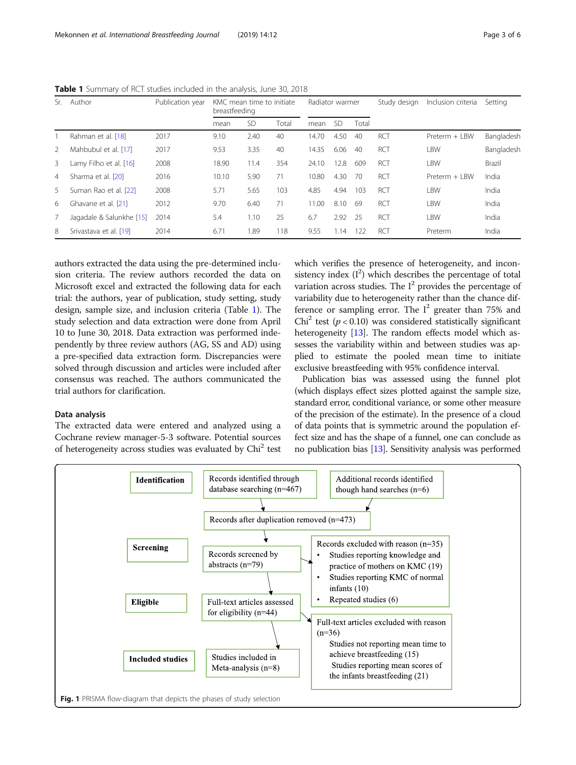| Sr.           | Author                   | Publication year | KMC mean time to initiate<br>breastfeeding |           |       | Radiator warmer |           |       | Study design | Inclusion criteria | Setting    |
|---------------|--------------------------|------------------|--------------------------------------------|-----------|-------|-----------------|-----------|-------|--------------|--------------------|------------|
|               |                          |                  | mean                                       | <b>SD</b> | Total | mean            | <b>SD</b> | Total |              |                    |            |
|               | Rahman et al. [18]       | 2017             | 9.10                                       | 2.40      | 40    | 14.70           | 4.50      | 40    | <b>RCT</b>   | Preterm + LBW      | Bangladesh |
| $\mathcal{P}$ | Mahbubul et al. [17]     | 2017             | 9.53                                       | 3.35      | 40    | 14.35           | 6.06      | 40    | <b>RCT</b>   | LBW                | Bangladesh |
| 3             | Lamy Filho et al. [16]   | 2008             | 18.90                                      | 11.4      | 354   | 24.10           | 12.8      | 609   | <b>RCT</b>   | <b>LBW</b>         | Brazil     |
| 4             | Sharma et al. [20]       | 2016             | 10.10                                      | 5.90      | 71    | 10.80           | 4.30      | 70    | <b>RCT</b>   | $Preterm + 1BW$    | India      |
| 5.            | Suman Rao et al. [22]    | 2008             | 5.71                                       | 5.65      | 103   | 4.85            | 4.94      | 103   | <b>RCT</b>   | <b>IBW</b>         | India      |
| 6             | Ghavane et al. [21]      | 2012             | 9.70                                       | 6.40      | 71    | 11.00           | 8.10      | 69    | <b>RCT</b>   | <b>IBW</b>         | India      |
|               | Jagadale & Salunkhe [15] | 2014             | 5.4                                        | 1.10      | 25    | 6.7             | 2.92      | - 25  | <b>RCT</b>   | I BW               | India      |
| 8             | Srivastava et al. [19]   | 2014             | 6.71                                       | 1.89      | 118   | 9.55            | 1.14      | 122   | <b>RCT</b>   | Preterm            | India      |

<span id="page-2-0"></span>Table 1 Summary of RCT studies included in the analysis, June 30, 2018

authors extracted the data using the pre-determined inclusion criteria. The review authors recorded the data on Microsoft excel and extracted the following data for each trial: the authors, year of publication, study setting, study design, sample size, and inclusion criteria (Table 1). The study selection and data extraction were done from April 10 to June 30, 2018. Data extraction was performed independently by three review authors (AG, SS and AD) using a pre-specified data extraction form. Discrepancies were solved through discussion and articles were included after consensus was reached. The authors communicated the trial authors for clarification.

The extracted data were entered and analyzed using a Cochrane review manager-5-3 software. Potential sources of heterogeneity across studies was evaluated by Chi<sup>2</sup> test

Data analysis

## which verifies the presence of heterogeneity, and inconsistency index  $(I^2)$  which describes the percentage of total variation across studies. The  $I^2$  provides the percentage of variability due to heterogeneity rather than the chance difference or sampling error. The  $I^2$  greater than 75% and Chi<sup>2</sup> test ( $p < 0.10$ ) was considered statistically significant heterogeneity [[13](#page-5-0)]. The random effects model which assesses the variability within and between studies was applied to estimate the pooled mean time to initiate exclusive breastfeeding with 95% confidence interval.

Publication bias was assessed using the funnel plot (which displays effect sizes plotted against the sample size, standard error, conditional variance, or some other measure of the precision of the estimate). In the presence of a cloud of data points that is symmetric around the population effect size and has the shape of a funnel, one can conclude as no publication bias [\[13\]](#page-5-0). Sensitivity analysis was performed

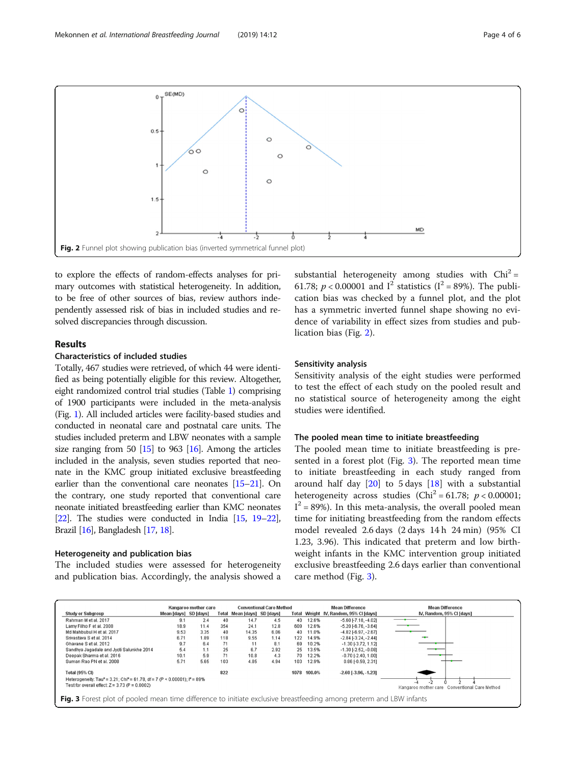

to explore the effects of random-effects analyses for primary outcomes with statistical heterogeneity. In addition, to be free of other sources of bias, review authors independently assessed risk of bias in included studies and resolved discrepancies through discussion.

## **Results**

## Characteristics of included studies

Totally, 467 studies were retrieved, of which 44 were identified as being potentially eligible for this review. Altogether, eight randomized control trial studies (Table [1\)](#page-2-0) comprising of 1900 participants were included in the meta-analysis (Fig. [1](#page-2-0)). All included articles were facility-based studies and conducted in neonatal care and postnatal care units. The studies included preterm and LBW neonates with a sample size ranging from 50  $[15]$  $[15]$  to 963  $[16]$  $[16]$  $[16]$ . Among the articles included in the analysis, seven studies reported that neonate in the KMC group initiated exclusive breastfeeding earlier than the conventional care neonates [\[15](#page-5-0)–[21\]](#page-5-0). On the contrary, one study reported that conventional care neonate initiated breastfeeding earlier than KMC neonates [[22](#page-5-0)]. The studies were conducted in India [\[15](#page-5-0), [19](#page-5-0)–[22](#page-5-0)], Brazil [\[16\]](#page-5-0), Bangladesh [\[17,](#page-5-0) [18\]](#page-5-0).

## Heterogeneity and publication bias

The included studies were assessed for heterogeneity and publication bias. Accordingly, the analysis showed a

substantial heterogeneity among studies with  $Chi^2 =$ 61.78;  $p < 0.00001$  and  $I^2$  statistics ( $I^2 = 89\%$ ). The publication bias was checked by a funnel plot, and the plot has a symmetric inverted funnel shape showing no evidence of variability in effect sizes from studies and publication bias (Fig. 2).

## Sensitivity analysis

Sensitivity analysis of the eight studies were performed to test the effect of each study on the pooled result and no statistical source of heterogeneity among the eight studies were identified.

### The pooled mean time to initiate breastfeeding

The pooled mean time to initiate breastfeeding is presented in a forest plot (Fig. 3). The reported mean time to initiate breastfeeding in each study ranged from around half day  $[20]$  $[20]$  to 5 days  $[18]$  $[18]$  with a substantial heterogeneity across studies  $(Chi^2 = 61.78; p < 0.00001;$  $I^2$  = 89%). In this meta-analysis, the overall pooled mean time for initiating breastfeeding from the random effects model revealed 2.6 days (2 days 14 h 24 min) (95% CI 1.23, 3.96). This indicated that preterm and low birthweight infants in the KMC intervention group initiated exclusive breastfeeding 2.6 days earlier than conventional care method (Fig. 3).

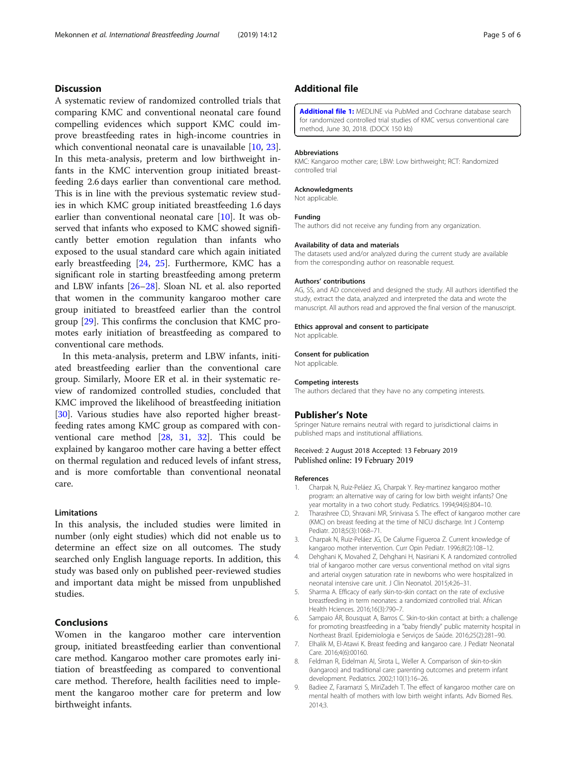## <span id="page-4-0"></span>**Discussion**

A systematic review of randomized controlled trials that comparing KMC and conventional neonatal care found compelling evidences which support KMC could improve breastfeeding rates in high-income countries in which conventional neonatal care is unavailable [\[10,](#page-5-0) [23](#page-5-0)]. In this meta-analysis, preterm and low birthweight infants in the KMC intervention group initiated breastfeeding 2.6 days earlier than conventional care method. This is in line with the previous systematic review studies in which KMC group initiated breastfeeding 1.6 days earlier than conventional neonatal care [\[10\]](#page-5-0). It was observed that infants who exposed to KMC showed significantly better emotion regulation than infants who exposed to the usual standard care which again initiated early breastfeeding [[24](#page-5-0), [25](#page-5-0)]. Furthermore, KMC has a significant role in starting breastfeeding among preterm and LBW infants [[26](#page-5-0)–[28](#page-5-0)]. Sloan NL et al. also reported that women in the community kangaroo mother care group initiated to breastfeed earlier than the control group [[29\]](#page-5-0). This confirms the conclusion that KMC promotes early initiation of breastfeeding as compared to conventional care methods.

In this meta-analysis, preterm and LBW infants, initiated breastfeeding earlier than the conventional care group. Similarly, Moore ER et al. in their systematic review of randomized controlled studies, concluded that KMC improved the likelihood of breastfeeding initiation [[30\]](#page-5-0). Various studies have also reported higher breastfeeding rates among KMC group as compared with conventional care method [[28](#page-5-0), [31](#page-5-0), [32](#page-5-0)]. This could be explained by kangaroo mother care having a better effect on thermal regulation and reduced levels of infant stress, and is more comfortable than conventional neonatal care.

## Limitations

In this analysis, the included studies were limited in number (only eight studies) which did not enable us to determine an effect size on all outcomes. The study searched only English language reports. In addition, this study was based only on published peer-reviewed studies and important data might be missed from unpublished studies.

## Conclusions

Women in the kangaroo mother care intervention group, initiated breastfeeding earlier than conventional care method. Kangaroo mother care promotes early initiation of breastfeeding as compared to conventional care method. Therefore, health facilities need to implement the kangaroo mother care for preterm and low birthweight infants.

## Additional file

[Additional file 1:](https://doi.org/10.1186/s13006-019-0206-0) MEDLINE via PubMed and Cochrane database search for randomized controlled trial studies of KMC versus conventional care method, June 30, 2018. (DOCX 150 kb)

#### Abbreviations

KMC: Kangaroo mother care; LBW: Low birthweight; RCT: Randomized controlled trial

#### Acknowledgments

Not applicable.

#### Funding

The authors did not receive any funding from any organization.

#### Availability of data and materials

The datasets used and/or analyzed during the current study are available from the corresponding author on reasonable request.

#### Authors' contributions

AG, SS, and AD conceived and designed the study. All authors identified the study, extract the data, analyzed and interpreted the data and wrote the manuscript. All authors read and approved the final version of the manuscript.

#### Ethics approval and consent to participate

Not applicable.

#### Consent for publication

Not applicable.

#### Competing interests

The authors declared that they have no any competing interests.

#### Publisher's Note

Springer Nature remains neutral with regard to jurisdictional claims in published maps and institutional affiliations.

#### Received: 2 August 2018 Accepted: 13 February 2019 Published online: 19 February 2019

#### References

- 1. Charpak N, Ruiz-Peláez JG, Charpak Y. Rey-martinez kangaroo mother program: an alternative way of caring for low birth weight infants? One year mortality in a two cohort study. Pediatrics. 1994;94(6):804–10.
- 2. Tharashree CD, Shravani MR, Srinivasa S. The effect of kangaroo mother care (KMC) on breast feeding at the time of NICU discharge. Int J Contemp Pediatr. 2018;5(3):1068–71.
- 3. Charpak N, Ruiz-Peláez JG, De Calume Figueroa Z. Current knowledge of kangaroo mother intervention. Curr Opin Pediatr. 1996;8(2):108–12.
- 4. Dehghani K, Movahed Z, Dehghani H, Nasiriani K. A randomized controlled trial of kangaroo mother care versus conventional method on vital signs and arterial oxygen saturation rate in newborns who were hospitalized in neonatal intensive care unit. J Clin Neonatol. 2015;4:26–31.
- 5. Sharma A. Efficacy of early skin-to-skin contact on the rate of exclusive breastfeeding in term neonates: a randomized controlled trial. African Health Hciences. 2016;16(3):790–7.
- 6. Sampaio ÁR, Bousquat A, Barros C. Skin-to-skin contact at birth: a challenge for promoting breastfeeding in a "baby friendly" public maternity hospital in Northeast Brazil. Epidemiologia e Serviços de Saúde. 2016;25(2):281–90.
- 7. Elhalik M, El-Atawi K. Breast feeding and kangaroo care. J Pediatr Neonatal Care. 2016;4(6):00160.
- 8. Feldman R, Eidelman AI, Sirota L, Weller A. Comparison of skin-to-skin (kangaroo) and traditional care: parenting outcomes and preterm infant development. Pediatrics. 2002;110(1):16–26.
- 9. Badiee Z, Faramarzi S, MiriZadeh T. The effect of kangaroo mother care on mental health of mothers with low birth weight infants. Adv Biomed Res. 2014;3.